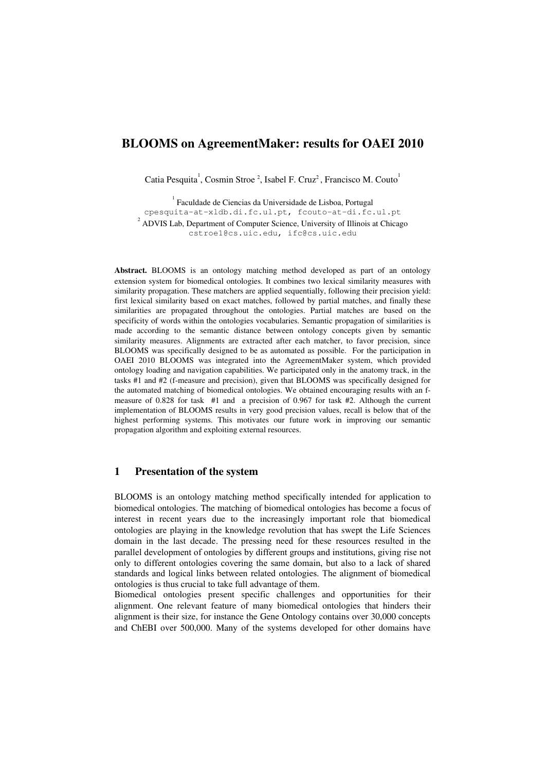# BLOOMS on AgreementMaker: results for OAEI 2010

Catia Pesquita<sup>1</sup>, Cosmin Stroe<sup>2</sup>, Isabel F. Cruz<sup>2</sup>, Francisco M. Couto<sup>1</sup>

<sup>1</sup> Faculdade de Ciencias da Universidade de Lisboa, Portugal cpesquita-at-xldb.di.fc.ul.pt, fcouto-at-di.fc.ul.pt  $2^{2}$  ADVIS Lab, Department of Computer Science, University of Illinois at Chicago cstroe1@cs.uic.edu, ifc@cs.uic.edu

Abstract. BLOOMS is an ontology matching method developed as part of an ontology extension system for biomedical ontologies. It combines two lexical similarity measures with similarity propagation. These matchers are applied sequentially, following their precision yield: first lexical similarity based on exact matches, followed by partial matches, and finally these similarities are propagated throughout the ontologies. Partial matches are based on the specificity of words within the ontologies vocabularies. Semantic propagation of similarities is made according to the semantic distance between ontology concepts given by semantic similarity measures. Alignments are extracted after each matcher, to favor precision, since BLOOMS was specifically designed to be as automated as possible. For the participation in OAEI 2010 BLOOMS was integrated into the AgreementMaker system, which provided ontology loading and navigation capabilities. We participated only in the anatomy track, in the tasks  $#1$  and  $#2$  (f-measure and precision), given that BLOOMS was specifically designed for the automated matching of biomedical ontologies. We obtained encouraging results with an fmeasure of 0.828 for task #1 and a precision of 0.967 for task #2. Although the current implementation of BLOOMS results in very good precision values, recall is below that of the highest performing systems. This motivates our future work in improving our semantic propagation algorithm and exploiting external resources.

## 1 Presentation of the system

BLOOMS is an ontology matching method specifically intended for application to biomedical ontologies. The matching of biomedical ontologies has become a focus of interest in recent years due to the increasingly important role that biomedical ontologies are playing in the knowledge revolution that has swept the Life Sciences domain in the last decade. The pressing need for these resources resulted in the parallel development of ontologies by different groups and institutions, giving rise not only to different ontologies covering the same domain, but also to a lack of shared standards and logical links between related ontologies. The alignment of biomedical ontologies is thus crucial to take full advantage of them.

Biomedical ontologies present specific challenges and opportunities for their alignment. One relevant feature of many biomedical ontologies that hinders their alignment is their size, for instance the Gene Ontology contains over 30,000 concepts and ChEBI over 500,000. Many of the systems developed for other domains have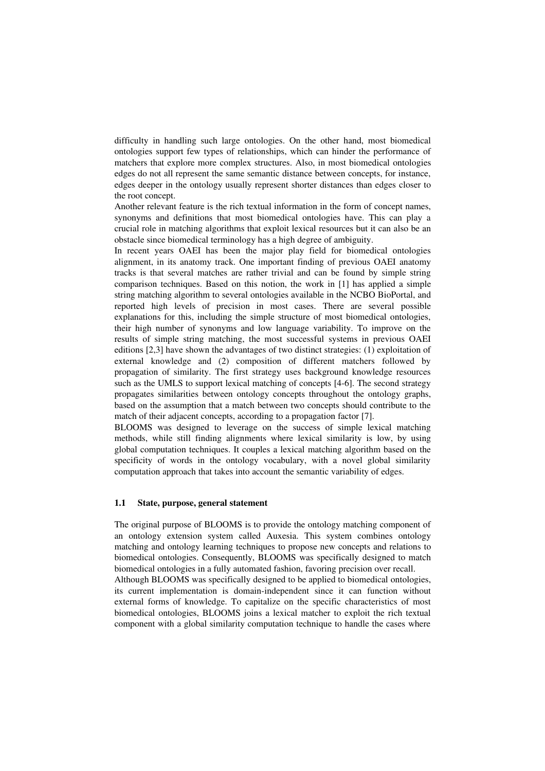difficulty in handling such large ontologies. On the other hand, most biomedical ontologies support few types of relationships, which can hinder the performance of matchers that explore more complex structures. Also, in most biomedical ontologies edges do not all represent the same semantic distance between concepts, for instance, edges deeper in the ontology usually represent shorter distances than edges closer to the root concept.

Another relevant feature is the rich textual information in the form of concept names, synonyms and definitions that most biomedical ontologies have. This can play a crucial role in matching algorithms that exploit lexical resources but it can also be an obstacle since biomedical terminology has a high degree of ambiguity.

In recent years OAEI has been the major play field for biomedical ontologies alignment, in its anatomy track. One important finding of previous OAEI anatomy tracks is that several matches are rather trivial and can be found by simple string comparison techniques. Based on this notion, the work in [1] has applied a simple string matching algorithm to several ontologies available in the NCBO BioPortal, and reported high levels of precision in most cases. There are several possible explanations for this, including the simple structure of most biomedical ontologies, their high number of synonyms and low language variability. To improve on the results of simple string matching, the most successful systems in previous OAEI editions [2,3] have shown the advantages of two distinct strategies: (1) exploitation of external knowledge and (2) composition of different matchers followed by propagation of similarity. The first strategy uses background knowledge resources such as the UMLS to support lexical matching of concepts [4-6]. The second strategy propagates similarities between ontology concepts throughout the ontology graphs, based on the assumption that a match between two concepts should contribute to the match of their adjacent concepts, according to a propagation factor [7].

BLOOMS was designed to leverage on the success of simple lexical matching methods, while still finding alignments where lexical similarity is low, by using global computation techniques. It couples a lexical matching algorithm based on the specificity of words in the ontology vocabulary, with a novel global similarity computation approach that takes into account the semantic variability of edges.

#### 1.1 State, purpose, general statement

The original purpose of BLOOMS is to provide the ontology matching component of an ontology extension system called Auxesia. This system combines ontology matching and ontology learning techniques to propose new concepts and relations to biomedical ontologies. Consequently, BLOOMS was specifically designed to match biomedical ontologies in a fully automated fashion, favoring precision over recall.

Although BLOOMS was specifically designed to be applied to biomedical ontologies, its current implementation is domain-independent since it can function without external forms of knowledge. To capitalize on the specific characteristics of most biomedical ontologies, BLOOMS joins a lexical matcher to exploit the rich textual component with a global similarity computation technique to handle the cases where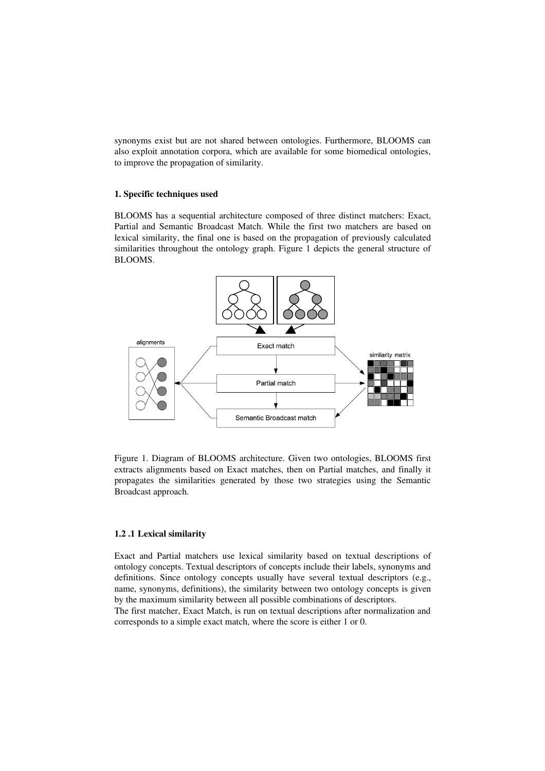synonyms exist but are not shared between ontologies. Furthermore, BLOOMS can also exploit annotation corpora, which are available for some biomedical ontologies, to improve the propagation of similarity.

#### 1. Specific techniques used

BLOOMS has a sequential architecture composed of three distinct matchers: Exact, Partial and Semantic Broadcast Match. While the first two matchers are based on lexical similarity, the final one is based on the propagation of previously calculated similarities throughout the ontology graph. Figure 1 depicts the general structure of BLOOMS.



Figure 1. Diagram of BLOOMS architecture. Given two ontologies, BLOOMS first extracts alignments based on Exact matches, then on Partial matches, and finally it propagates the similarities generated by those two strategies using the Semantic Broadcast approach.

#### 1.2 .1 Lexical similarity

Exact and Partial matchers use lexical similarity based on textual descriptions of ontology concepts. Textual descriptors of concepts include their labels, synonyms and definitions. Since ontology concepts usually have several textual descriptors (e.g., name, synonyms, definitions), the similarity between two ontology concepts is given by the maximum similarity between all possible combinations of descriptors.

The first matcher, Exact Match, is run on textual descriptions after normalization and corresponds to a simple exact match, where the score is either 1 or 0.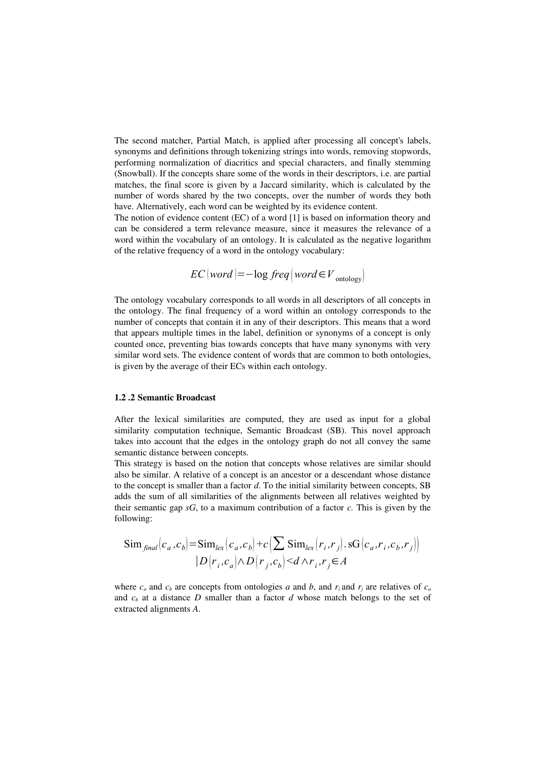The second matcher, Partial Match, is applied after processing all concept's labels, synonyms and definitions through tokenizing strings into words, removing stopwords, performing normalization of diacritics and special characters, and finally stemming (Snowball). If the concepts share some of the words in their descriptors, i.e. are partial matches, the final score is given by a Jaccard similarity, which is calculated by the number of words shared by the two concepts, over the number of words they both have. Alternatively, each word can be weighted by its evidence content.

The notion of evidence content (EC) of a word [1] is based on information theory and can be considered a term relevance measure, since it measures the relevance of a word within the vocabulary of an ontology. It is calculated as the negative logarithm of the relative frequency of a word in the ontology vocabulary:

$$
EC(word) = -\log freq(word \in V_{\text{ ontology}})
$$

The ontology vocabulary corresponds to all words in all descriptors of all concepts in the ontology. The final frequency of a word within an ontology corresponds to the number of concepts that contain it in any of their descriptors. This means that a word that appears multiple times in the label, definition or synonyms of a concept is only counted once, preventing bias towards concepts that have many synonyms with very similar word sets. The evidence content of words that are common to both ontologies, is given by the average of their ECs within each ontology.

#### 1.2 .2 Semantic Broadcast

After the lexical similarities are computed, they are used as input for a global similarity computation technique, Semantic Broadcast (SB). This novel approach takes into account that the edges in the ontology graph do not all convey the same semantic distance between concepts.

This strategy is based on the notion that concepts whose relatives are similar should also be similar. A relative of a concept is an ancestor or a descendant whose distance to the concept is smaller than a factor *d*. To the initial similarity between concepts, SB adds the sum of all similarities of the alignments between all relatives weighted by their semantic gap *sG*, to a maximum contribution of a factor *c.* This is given by the following:

$$
\text{Sim}_{\text{final}}(c_a, c_b) = \text{Sim}_{\text{lex}}(c_a, c_b) + c \left( \sum \text{Sim}_{\text{lex}}(r_i, r_j), \text{SG}(c_a, r_i, c_b, r_j) \right)
$$

$$
|D(r_i, c_a) \wedge D(r_j, c_b) < d \wedge r_i, r_j \in A
$$

where  $c_a$  and  $c_b$  are concepts from ontologies *a* and *b*, and  $r_i$  and  $r_j$  are relatives of  $c_a$ and  $c<sub>b</sub>$  at a distance *D* smaller than a factor *d* whose match belongs to the set of extracted alignments *A*.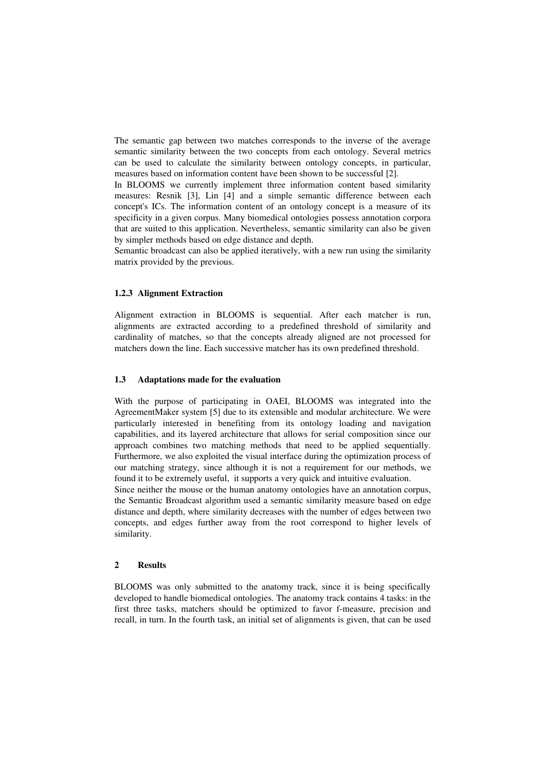The semantic gap between two matches corresponds to the inverse of the average semantic similarity between the two concepts from each ontology. Several metrics can be used to calculate the similarity between ontology concepts, in particular, measures based on information content have been shown to be successful [2].

In BLOOMS we currently implement three information content based similarity measures: Resnik [3], Lin [4] and a simple semantic difference between each concept's ICs. The information content of an ontology concept is a measure of its specificity in a given corpus. Many biomedical ontologies possess annotation corpora that are suited to this application. Nevertheless, semantic similarity can also be given by simpler methods based on edge distance and depth.

Semantic broadcast can also be applied iteratively, with a new run using the similarity matrix provided by the previous.

#### 1.2.3 Alignment Extraction

Alignment extraction in BLOOMS is sequential. After each matcher is run, alignments are extracted according to a predefined threshold of similarity and cardinality of matches, so that the concepts already aligned are not processed for matchers down the line. Each successive matcher has its own predefined threshold.

## 1.3 Adaptations made for the evaluation

With the purpose of participating in OAEI, BLOOMS was integrated into the AgreementMaker system [5] due to its extensible and modular architecture. We were particularly interested in benefiting from its ontology loading and navigation capabilities, and its layered architecture that allows for serial composition since our approach combines two matching methods that need to be applied sequentially. Furthermore, we also exploited the visual interface during the optimization process of our matching strategy, since although it is not a requirement for our methods, we found it to be extremely useful, it supports a very quick and intuitive evaluation.

Since neither the mouse or the human anatomy ontologies have an annotation corpus, the Semantic Broadcast algorithm used a semantic similarity measure based on edge distance and depth, where similarity decreases with the number of edges between two concepts, and edges further away from the root correspond to higher levels of similarity.

## 2 Results

BLOOMS was only submitted to the anatomy track, since it is being specifically developed to handle biomedical ontologies. The anatomy track contains 4 tasks: in the first three tasks, matchers should be optimized to favor f-measure, precision and recall, in turn. In the fourth task, an initial set of alignments is given, that can be used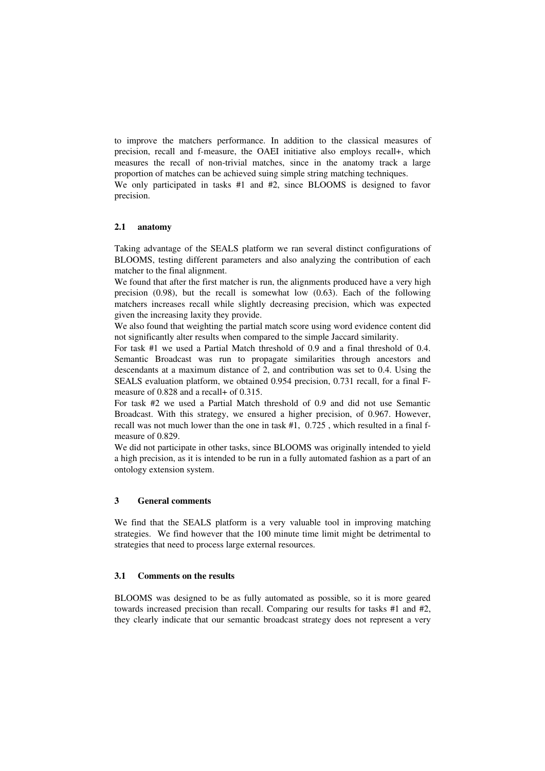to improve the matchers performance. In addition to the classical measures of precision, recall and f-measure, the OAEI initiative also employs recall+, which measures the recall of non-trivial matches, since in the anatomy track a large proportion of matches can be achieved suing simple string matching techniques. We only participated in tasks  $#1$  and  $#2$ , since BLOOMS is designed to favor precision.

## 2.1 anatomy

Taking advantage of the SEALS platform we ran several distinct configurations of BLOOMS, testing different parameters and also analyzing the contribution of each matcher to the final alignment.

We found that after the first matcher is run, the alignments produced have a very high precision  $(0.98)$ , but the recall is somewhat low  $(0.63)$ . Each of the following matchers increases recall while slightly decreasing precision, which was expected given the increasing laxity they provide.

We also found that weighting the partial match score using word evidence content did not significantly alter results when compared to the simple Jaccard similarity.

For task #1 we used a Partial Match threshold of 0.9 and a final threshold of 0.4. Semantic Broadcast was run to propagate similarities through ancestors and descendants at a maximum distance of 2, and contribution was set to 0.4. Using the SEALS evaluation platform, we obtained 0.954 precision, 0.731 recall, for a final Fmeasure of 0.828 and a recall+ of 0.315.

For task #2 we used a Partial Match threshold of 0.9 and did not use Semantic Broadcast. With this strategy, we ensured a higher precision, of 0.967. However, recall was not much lower than the one in task #1, 0.725 , which resulted in a final fmeasure of 0.829.

We did not participate in other tasks, since BLOOMS was originally intended to yield a high precision, as it is intended to be run in a fully automated fashion as a part of an ontology extension system.

#### 3 General comments

We find that the SEALS platform is a very valuable tool in improving matching strategies. We find however that the 100 minute time limit might be detrimental to strategies that need to process large external resources.

## 3.1 Comments on the results

BLOOMS was designed to be as fully automated as possible, so it is more geared towards increased precision than recall. Comparing our results for tasks #1 and #2, they clearly indicate that our semantic broadcast strategy does not represent a very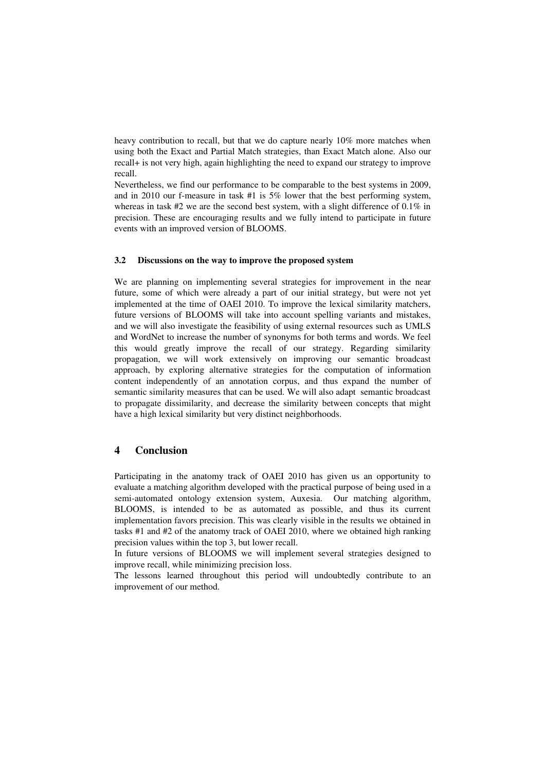heavy contribution to recall, but that we do capture nearly 10% more matches when using both the Exact and Partial Match strategies, than Exact Match alone. Also our recall+ is not very high, again highlighting the need to expand our strategy to improve recall.

Nevertheless, we find our performance to be comparable to the best systems in 2009, and in 2010 our f-measure in task  $#1$  is 5% lower that the best performing system, whereas in task #2 we are the second best system, with a slight difference of 0.1% in precision. These are encouraging results and we fully intend to participate in future events with an improved version of BLOOMS.

#### 3.2 Discussions on the way to improve the proposed system

We are planning on implementing several strategies for improvement in the near future, some of which were already a part of our initial strategy, but were not yet implemented at the time of OAEI 2010. To improve the lexical similarity matchers, future versions of BLOOMS will take into account spelling variants and mistakes, and we will also investigate the feasibility of using external resources such as UMLS and WordNet to increase the number of synonyms for both terms and words. We feel this would greatly improve the recall of our strategy. Regarding similarity propagation, we will work extensively on improving our semantic broadcast approach, by exploring alternative strategies for the computation of information content independently of an annotation corpus, and thus expand the number of semantic similarity measures that can be used. We will also adapt semantic broadcast to propagate dissimilarity, and decrease the similarity between concepts that might have a high lexical similarity but very distinct neighborhoods.

## 4 Conclusion

Participating in the anatomy track of OAEI 2010 has given us an opportunity to evaluate a matching algorithm developed with the practical purpose of being used in a semi-automated ontology extension system, Auxesia. Our matching algorithm, BLOOMS, is intended to be as automated as possible, and thus its current implementation favors precision. This was clearly visible in the results we obtained in tasks #1 and #2 of the anatomy track of OAEI 2010, where we obtained high ranking precision values within the top 3, but lower recall.

In future versions of BLOOMS we will implement several strategies designed to improve recall, while minimizing precision loss.

The lessons learned throughout this period will undoubtedly contribute to an improvement of our method.